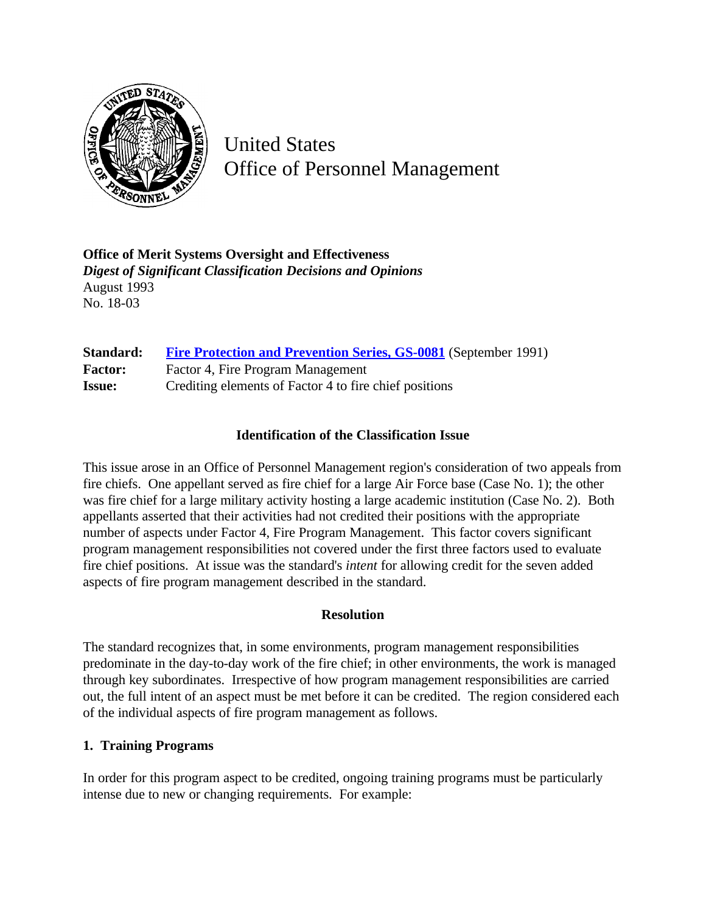

United States Office of Personnel Management

**Office of Merit Systems Oversight and Effectiveness** *Digest of Significant Classification Decisions and Opinions* August 1993 No. 18-03

| Standard:      | <b>Fire Protection and Prevention Series, GS-0081</b> (September 1991) |
|----------------|------------------------------------------------------------------------|
| <b>Factor:</b> | Factor 4, Fire Program Management                                      |
| <b>Issue:</b>  | Crediting elements of Factor 4 to fire chief positions                 |

### **Identification of the Classification Issue**

This issue arose in an Office of Personnel Management region's consideration of two appeals from fire chiefs. One appellant served as fire chief for a large Air Force base (Case No. 1); the other was fire chief for a large military activity hosting a large academic institution (Case No. 2). Both appellants asserted that their activities had not credited their positions with the appropriate number of aspects under Factor 4, Fire Program Management. This factor covers significant program management responsibilities not covered under the first three factors used to evaluate fire chief positions. At issue was the standard's *intent* for allowing credit for the seven added aspects of fire program management described in the standard.

### **Resolution**

The standard recognizes that, in some environments, program management responsibilities predominate in the day-to-day work of the fire chief; in other environments, the work is managed through key subordinates. Irrespective of how program management responsibilities are carried out, the full intent of an aspect must be met before it can be credited. The region considered each of the individual aspects of fire program management as follows.

### **1. Training Programs**

In order for this program aspect to be credited, ongoing training programs must be particularly intense due to new or changing requirements. For example: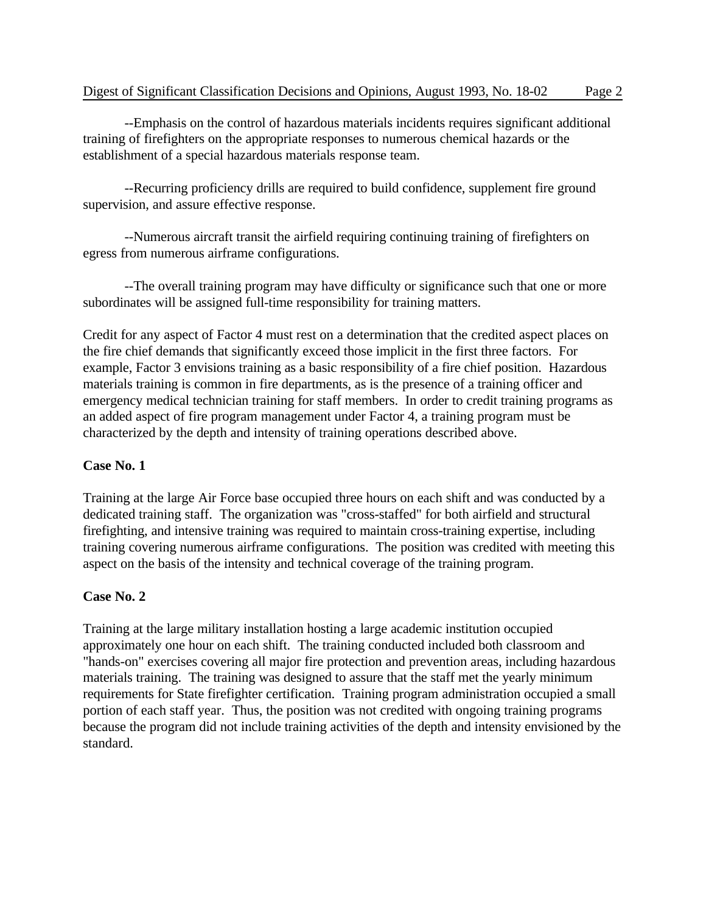--Emphasis on the control of hazardous materials incidents requires significant additional training of firefighters on the appropriate responses to numerous chemical hazards or the establishment of a special hazardous materials response team.

--Recurring proficiency drills are required to build confidence, supplement fire ground supervision, and assure effective response.

--Numerous aircraft transit the airfield requiring continuing training of firefighters on egress from numerous airframe configurations.

--The overall training program may have difficulty or significance such that one or more subordinates will be assigned full-time responsibility for training matters.

Credit for any aspect of Factor 4 must rest on a determination that the credited aspect places on the fire chief demands that significantly exceed those implicit in the first three factors. For example, Factor 3 envisions training as a basic responsibility of a fire chief position. Hazardous materials training is common in fire departments, as is the presence of a training officer and emergency medical technician training for staff members. In order to credit training programs as an added aspect of fire program management under Factor 4, a training program must be characterized by the depth and intensity of training operations described above.

# **Case No. 1**

Training at the large Air Force base occupied three hours on each shift and was conducted by a dedicated training staff. The organization was "cross-staffed" for both airfield and structural firefighting, and intensive training was required to maintain cross-training expertise, including training covering numerous airframe configurations. The position was credited with meeting this aspect on the basis of the intensity and technical coverage of the training program.

# **Case No. 2**

Training at the large military installation hosting a large academic institution occupied approximately one hour on each shift. The training conducted included both classroom and "hands-on" exercises covering all major fire protection and prevention areas, including hazardous materials training. The training was designed to assure that the staff met the yearly minimum requirements for State firefighter certification. Training program administration occupied a small portion of each staff year. Thus, the position was not credited with ongoing training programs because the program did not include training activities of the depth and intensity envisioned by the standard.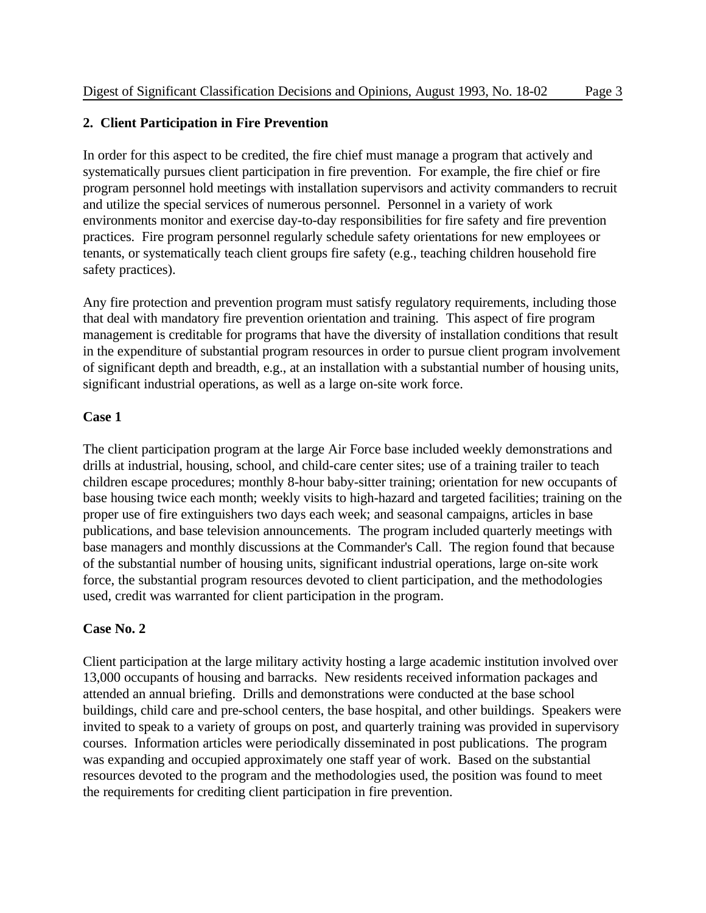### **2. Client Participation in Fire Prevention**

In order for this aspect to be credited, the fire chief must manage a program that actively and systematically pursues client participation in fire prevention. For example, the fire chief or fire program personnel hold meetings with installation supervisors and activity commanders to recruit and utilize the special services of numerous personnel. Personnel in a variety of work environments monitor and exercise day-to-day responsibilities for fire safety and fire prevention practices. Fire program personnel regularly schedule safety orientations for new employees or tenants, or systematically teach client groups fire safety (e.g., teaching children household fire safety practices).

Any fire protection and prevention program must satisfy regulatory requirements, including those that deal with mandatory fire prevention orientation and training. This aspect of fire program management is creditable for programs that have the diversity of installation conditions that result in the expenditure of substantial program resources in order to pursue client program involvement of significant depth and breadth, e.g., at an installation with a substantial number of housing units, significant industrial operations, as well as a large on-site work force.

### **Case 1**

The client participation program at the large Air Force base included weekly demonstrations and drills at industrial, housing, school, and child-care center sites; use of a training trailer to teach children escape procedures; monthly 8-hour baby-sitter training; orientation for new occupants of base housing twice each month; weekly visits to high-hazard and targeted facilities; training on the proper use of fire extinguishers two days each week; and seasonal campaigns, articles in base publications, and base television announcements. The program included quarterly meetings with base managers and monthly discussions at the Commander's Call. The region found that because of the substantial number of housing units, significant industrial operations, large on-site work force, the substantial program resources devoted to client participation, and the methodologies used, credit was warranted for client participation in the program.

### **Case No. 2**

Client participation at the large military activity hosting a large academic institution involved over 13,000 occupants of housing and barracks. New residents received information packages and attended an annual briefing. Drills and demonstrations were conducted at the base school buildings, child care and pre-school centers, the base hospital, and other buildings. Speakers were invited to speak to a variety of groups on post, and quarterly training was provided in supervisory courses. Information articles were periodically disseminated in post publications. The program was expanding and occupied approximately one staff year of work. Based on the substantial resources devoted to the program and the methodologies used, the position was found to meet the requirements for crediting client participation in fire prevention.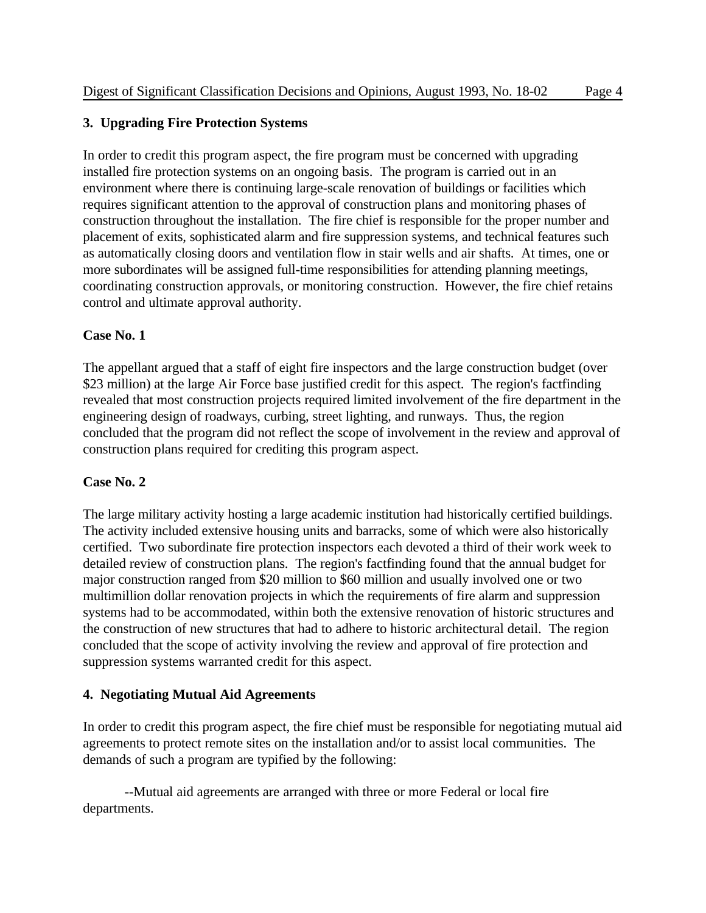### **3. Upgrading Fire Protection Systems**

In order to credit this program aspect, the fire program must be concerned with upgrading installed fire protection systems on an ongoing basis. The program is carried out in an environment where there is continuing large-scale renovation of buildings or facilities which requires significant attention to the approval of construction plans and monitoring phases of construction throughout the installation. The fire chief is responsible for the proper number and placement of exits, sophisticated alarm and fire suppression systems, and technical features such as automatically closing doors and ventilation flow in stair wells and air shafts. At times, one or more subordinates will be assigned full-time responsibilities for attending planning meetings, coordinating construction approvals, or monitoring construction. However, the fire chief retains control and ultimate approval authority.

### **Case No. 1**

The appellant argued that a staff of eight fire inspectors and the large construction budget (over \$23 million) at the large Air Force base justified credit for this aspect. The region's factfinding revealed that most construction projects required limited involvement of the fire department in the engineering design of roadways, curbing, street lighting, and runways. Thus, the region concluded that the program did not reflect the scope of involvement in the review and approval of construction plans required for crediting this program aspect.

### **Case No. 2**

The large military activity hosting a large academic institution had historically certified buildings. The activity included extensive housing units and barracks, some of which were also historically certified. Two subordinate fire protection inspectors each devoted a third of their work week to detailed review of construction plans. The region's factfinding found that the annual budget for major construction ranged from \$20 million to \$60 million and usually involved one or two multimillion dollar renovation projects in which the requirements of fire alarm and suppression systems had to be accommodated, within both the extensive renovation of historic structures and the construction of new structures that had to adhere to historic architectural detail. The region concluded that the scope of activity involving the review and approval of fire protection and suppression systems warranted credit for this aspect.

### **4. Negotiating Mutual Aid Agreements**

In order to credit this program aspect, the fire chief must be responsible for negotiating mutual aid agreements to protect remote sites on the installation and/or to assist local communities. The demands of such a program are typified by the following:

--Mutual aid agreements are arranged with three or more Federal or local fire departments.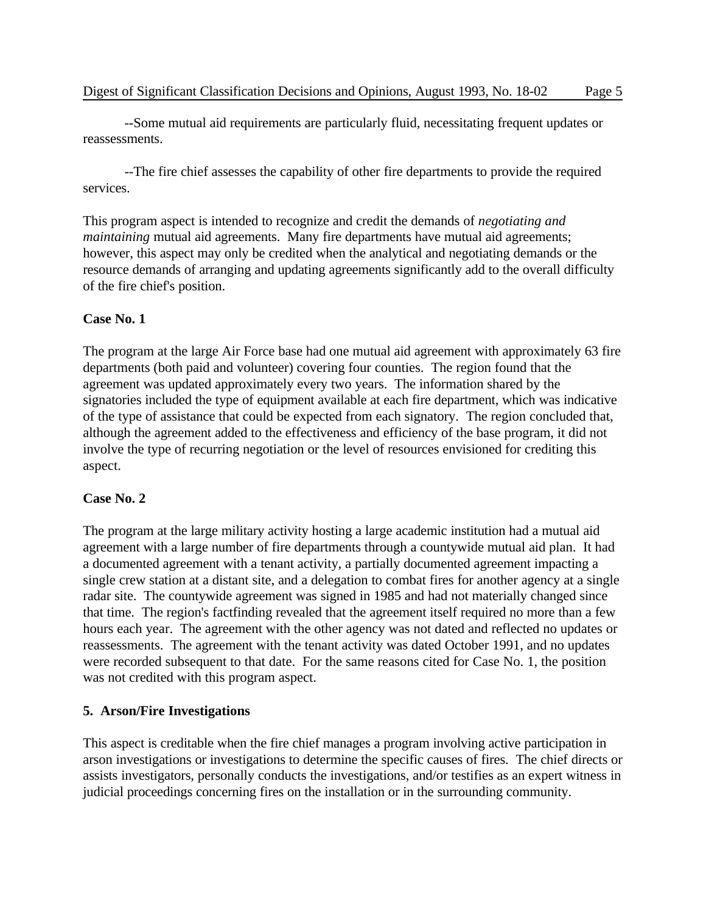--Some mutual aid requirements are particularly fluid, necessitating frequent updates or reassessments.

--The fire chief assesses the capability of other fire departments to provide the required services.

This program aspect is intended to recognize and credit the demands of *negotiating and maintaining* mutual aid agreements. Many fire departments have mutual aid agreements; however, this aspect may only be credited when the analytical and negotiating demands or the resource demands of arranging and updating agreements significantly add to the overall difficulty of the fire chief's position.

### **Case No. 1**

The program at the large Air Force base had one mutual aid agreement with approximately 63 fire departments (both paid and volunteer) covering four counties. The region found that the agreement was updated approximately every two years. The information shared by the signatories included the type of equipment available at each fire department, which was indicative of the type of assistance that could be expected from each signatory. The region concluded that, although the agreement added to the effectiveness and efficiency of the base program, it did not involve the type of recurring negotiation or the level of resources envisioned for crediting this aspect.

# **Case No. 2**

The program at the large military activity hosting a large academic institution had a mutual aid agreement with a large number of fire departments through a countywide mutual aid plan. It had a documented agreement with a tenant activity, a partially documented agreement impacting a single crew station at a distant site, and a delegation to combat fires for another agency at a single radar site. The countywide agreement was signed in 1985 and had not materially changed since that time. The region's factfinding revealed that the agreement itself required no more than a few hours each year. The agreement with the other agency was not dated and reflected no updates or reassessments. The agreement with the tenant activity was dated October 1991, and no updates were recorded subsequent to that date. For the same reasons cited for Case No. 1, the position was not credited with this program aspect.

# **5. Arson/Fire Investigations**

This aspect is creditable when the fire chief manages a program involving active participation in arson investigations or investigations to determine the specific causes of fires. The chief directs or assists investigators, personally conducts the investigations, and/or testifies as an expert witness in judicial proceedings concerning fires on the installation or in the surrounding community.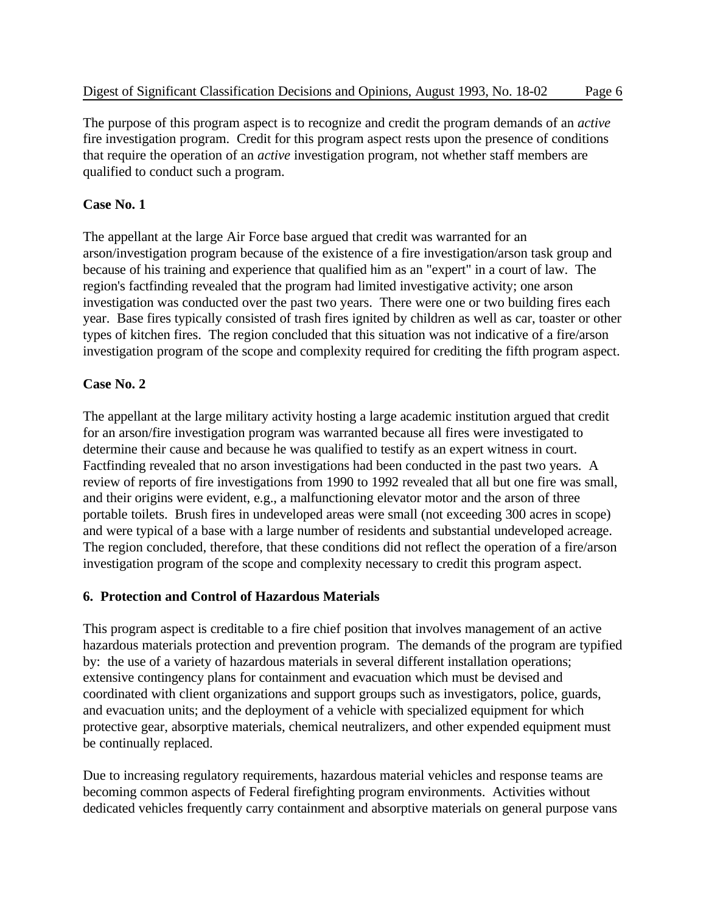The purpose of this program aspect is to recognize and credit the program demands of an *active* fire investigation program. Credit for this program aspect rests upon the presence of conditions that require the operation of an *active* investigation program, not whether staff members are qualified to conduct such a program.

### **Case No. 1**

The appellant at the large Air Force base argued that credit was warranted for an arson/investigation program because of the existence of a fire investigation/arson task group and because of his training and experience that qualified him as an "expert" in a court of law. The region's factfinding revealed that the program had limited investigative activity; one arson investigation was conducted over the past two years. There were one or two building fires each year. Base fires typically consisted of trash fires ignited by children as well as car, toaster or other types of kitchen fires. The region concluded that this situation was not indicative of a fire/arson investigation program of the scope and complexity required for crediting the fifth program aspect.

### **Case No. 2**

The appellant at the large military activity hosting a large academic institution argued that credit for an arson/fire investigation program was warranted because all fires were investigated to determine their cause and because he was qualified to testify as an expert witness in court. Factfinding revealed that no arson investigations had been conducted in the past two years. A review of reports of fire investigations from 1990 to 1992 revealed that all but one fire was small, and their origins were evident, e.g., a malfunctioning elevator motor and the arson of three portable toilets. Brush fires in undeveloped areas were small (not exceeding 300 acres in scope) and were typical of a base with a large number of residents and substantial undeveloped acreage. The region concluded, therefore, that these conditions did not reflect the operation of a fire/arson investigation program of the scope and complexity necessary to credit this program aspect.

# **6. Protection and Control of Hazardous Materials**

This program aspect is creditable to a fire chief position that involves management of an active hazardous materials protection and prevention program. The demands of the program are typified by: the use of a variety of hazardous materials in several different installation operations; extensive contingency plans for containment and evacuation which must be devised and coordinated with client organizations and support groups such as investigators, police, guards, and evacuation units; and the deployment of a vehicle with specialized equipment for which protective gear, absorptive materials, chemical neutralizers, and other expended equipment must be continually replaced.

Due to increasing regulatory requirements, hazardous material vehicles and response teams are becoming common aspects of Federal firefighting program environments. Activities without dedicated vehicles frequently carry containment and absorptive materials on general purpose vans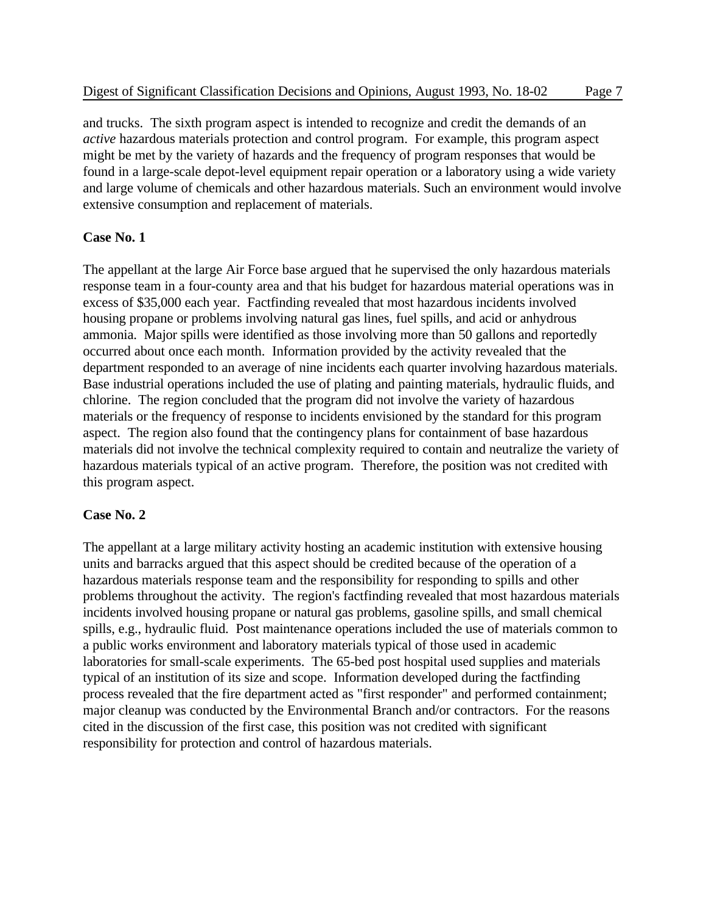and trucks. The sixth program aspect is intended to recognize and credit the demands of an *active* hazardous materials protection and control program. For example, this program aspect might be met by the variety of hazards and the frequency of program responses that would be found in a large-scale depot-level equipment repair operation or a laboratory using a wide variety and large volume of chemicals and other hazardous materials. Such an environment would involve extensive consumption and replacement of materials.

# **Case No. 1**

The appellant at the large Air Force base argued that he supervised the only hazardous materials response team in a four-county area and that his budget for hazardous material operations was in excess of \$35,000 each year. Factfinding revealed that most hazardous incidents involved housing propane or problems involving natural gas lines, fuel spills, and acid or anhydrous ammonia. Major spills were identified as those involving more than 50 gallons and reportedly occurred about once each month. Information provided by the activity revealed that the department responded to an average of nine incidents each quarter involving hazardous materials. Base industrial operations included the use of plating and painting materials, hydraulic fluids, and chlorine. The region concluded that the program did not involve the variety of hazardous materials or the frequency of response to incidents envisioned by the standard for this program aspect. The region also found that the contingency plans for containment of base hazardous materials did not involve the technical complexity required to contain and neutralize the variety of hazardous materials typical of an active program. Therefore, the position was not credited with this program aspect.

# **Case No. 2**

The appellant at a large military activity hosting an academic institution with extensive housing units and barracks argued that this aspect should be credited because of the operation of a hazardous materials response team and the responsibility for responding to spills and other problems throughout the activity. The region's factfinding revealed that most hazardous materials incidents involved housing propane or natural gas problems, gasoline spills, and small chemical spills, e.g., hydraulic fluid. Post maintenance operations included the use of materials common to a public works environment and laboratory materials typical of those used in academic laboratories for small-scale experiments. The 65-bed post hospital used supplies and materials typical of an institution of its size and scope. Information developed during the factfinding process revealed that the fire department acted as "first responder" and performed containment; major cleanup was conducted by the Environmental Branch and/or contractors. For the reasons cited in the discussion of the first case, this position was not credited with significant responsibility for protection and control of hazardous materials.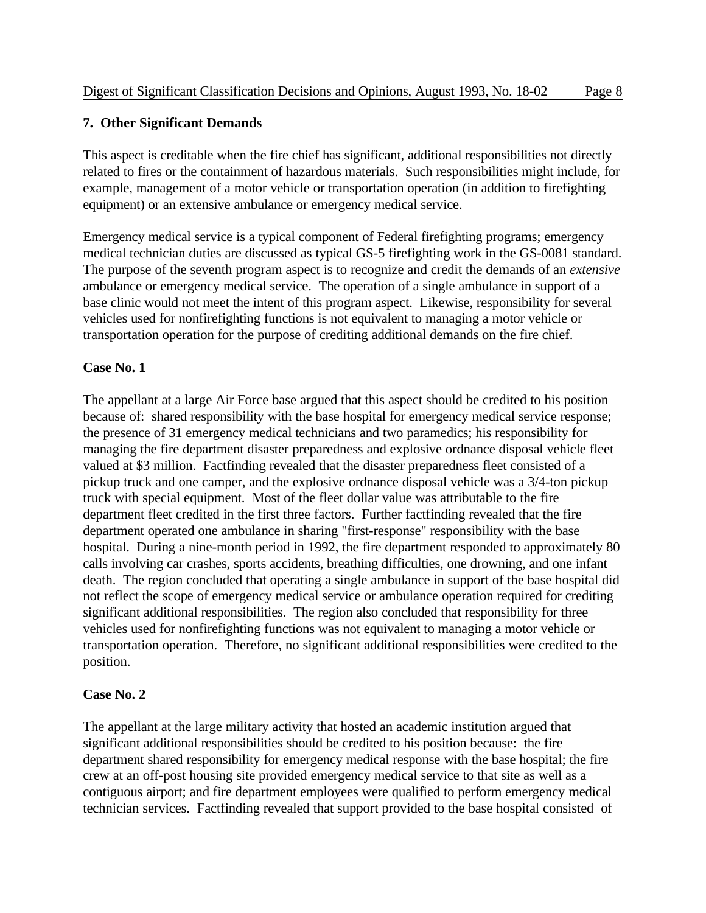### **7. Other Significant Demands**

This aspect is creditable when the fire chief has significant, additional responsibilities not directly related to fires or the containment of hazardous materials. Such responsibilities might include, for example, management of a motor vehicle or transportation operation (in addition to firefighting equipment) or an extensive ambulance or emergency medical service.

Emergency medical service is a typical component of Federal firefighting programs; emergency medical technician duties are discussed as typical GS-5 firefighting work in the GS-0081 standard. The purpose of the seventh program aspect is to recognize and credit the demands of an *extensive* ambulance or emergency medical service. The operation of a single ambulance in support of a base clinic would not meet the intent of this program aspect. Likewise, responsibility for several vehicles used for nonfirefighting functions is not equivalent to managing a motor vehicle or transportation operation for the purpose of crediting additional demands on the fire chief.

### **Case No. 1**

The appellant at a large Air Force base argued that this aspect should be credited to his position because of: shared responsibility with the base hospital for emergency medical service response; the presence of 31 emergency medical technicians and two paramedics; his responsibility for managing the fire department disaster preparedness and explosive ordnance disposal vehicle fleet valued at \$3 million. Factfinding revealed that the disaster preparedness fleet consisted of a pickup truck and one camper, and the explosive ordnance disposal vehicle was a 3/4-ton pickup truck with special equipment. Most of the fleet dollar value was attributable to the fire department fleet credited in the first three factors. Further factfinding revealed that the fire department operated one ambulance in sharing "first-response" responsibility with the base hospital. During a nine-month period in 1992, the fire department responded to approximately 80 calls involving car crashes, sports accidents, breathing difficulties, one drowning, and one infant death. The region concluded that operating a single ambulance in support of the base hospital did not reflect the scope of emergency medical service or ambulance operation required for crediting significant additional responsibilities. The region also concluded that responsibility for three vehicles used for nonfirefighting functions was not equivalent to managing a motor vehicle or transportation operation. Therefore, no significant additional responsibilities were credited to the position.

### **Case No. 2**

The appellant at the large military activity that hosted an academic institution argued that significant additional responsibilities should be credited to his position because: the fire department shared responsibility for emergency medical response with the base hospital; the fire crew at an off-post housing site provided emergency medical service to that site as well as a contiguous airport; and fire department employees were qualified to perform emergency medical technician services. Factfinding revealed that support provided to the base hospital consisted of